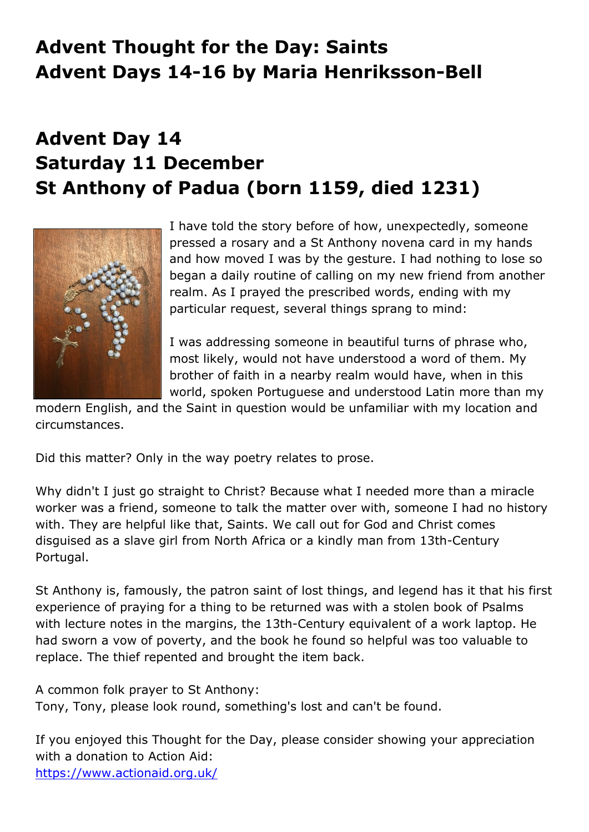## **Advent Thought for the Day: Saints Advent Days 14-16 by Maria Henriksson-Bell**

## **Advent Day 14 Saturday 11 December St Anthony of Padua (born 1159, died 1231)**



I have told the story before of how, unexpectedly, someone pressed a rosary and a St Anthony novena card in my hands and how moved I was by the gesture. I had nothing to lose so began a daily routine of calling on my new friend from another realm. As I prayed the prescribed words, ending with my particular request, several things sprang to mind:

I was addressing someone in beautiful turns of phrase who, most likely, would not have understood a word of them. My brother of faith in a nearby realm would have, when in this world, spoken Portuguese and understood Latin more than my

modern English, and the Saint in question would be unfamiliar with my location and circumstances.

Did this matter? Only in the way poetry relates to prose.

Why didn't I just go straight to Christ? Because what I needed more than a miracle worker was a friend, someone to talk the matter over with, someone I had no history with. They are helpful like that, Saints. We call out for God and Christ comes disguised as a slave girl from North Africa or a kindly man from 13th-Century Portugal.

St Anthony is, famously, the patron saint of lost things, and legend has it that his first experience of praying for a thing to be returned was with a stolen book of Psalms with lecture notes in the margins, the 13th-Century equivalent of a work laptop. He had sworn a vow of poverty, and the book he found so helpful was too valuable to replace. The thief repented and brought the item back.

A common folk prayer to St Anthony:

Tony, Tony, please look round, something's lost and can't be found.

If you enjoyed this Thought for the Day, please consider showing your appreciation with a donation to Action Aid: https://www.actionaid.org.uk/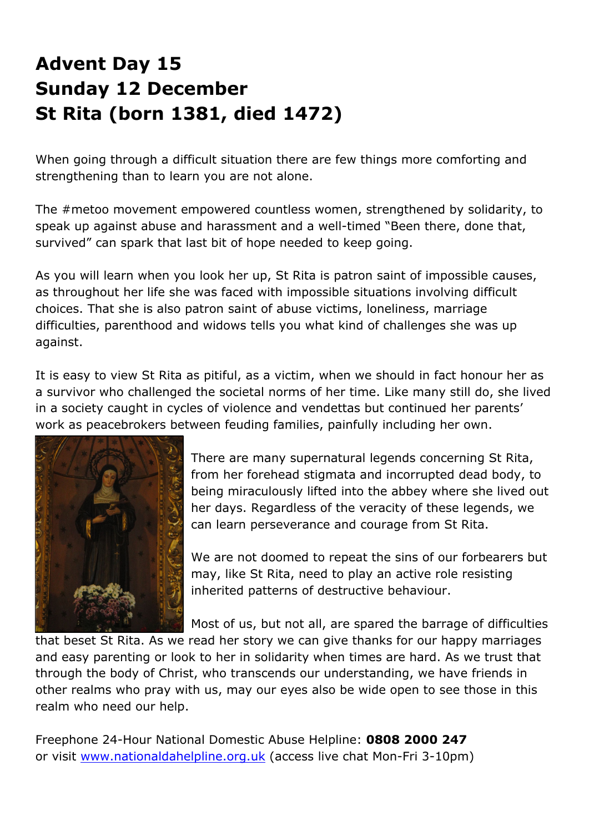## **Advent Day 15 Sunday 12 December St Rita (born 1381, died 1472)**

When going through a difficult situation there are few things more comforting and strengthening than to learn you are not alone.

The #metoo movement empowered countless women, strengthened by solidarity, to speak up against abuse and harassment and a well-timed "Been there, done that, survived" can spark that last bit of hope needed to keep going.

As you will learn when you look her up, St Rita is patron saint of impossible causes, as throughout her life she was faced with impossible situations involving difficult choices. That she is also patron saint of abuse victims, loneliness, marriage difficulties, parenthood and widows tells you what kind of challenges she was up against.

It is easy to view St Rita as pitiful, as a victim, when we should in fact honour her as a survivor who challenged the societal norms of her time. Like many still do, she lived in a society caught in cycles of violence and vendettas but continued her parents' work as peacebrokers between feuding families, painfully including her own.



There are many supernatural legends concerning St Rita, from her forehead stigmata and incorrupted dead body, to being miraculously lifted into the abbey where she lived out her days. Regardless of the veracity of these legends, we can learn perseverance and courage from St Rita.

We are not doomed to repeat the sins of our forbearers but may, like St Rita, need to play an active role resisting inherited patterns of destructive behaviour.

Most of us, but not all, are spared the barrage of difficulties

that beset St Rita. As we read her story we can give thanks for our happy marriages and easy parenting or look to her in solidarity when times are hard. As we trust that through the body of Christ, who transcends our understanding, we have friends in other realms who pray with us, may our eyes also be wide open to see those in this realm who need our help.

Freephone 24-Hour National Domestic Abuse Helpline: **0808 2000 247** or visit www.nationaldahelpline.org.uk (access live chat Mon-Fri 3-10pm)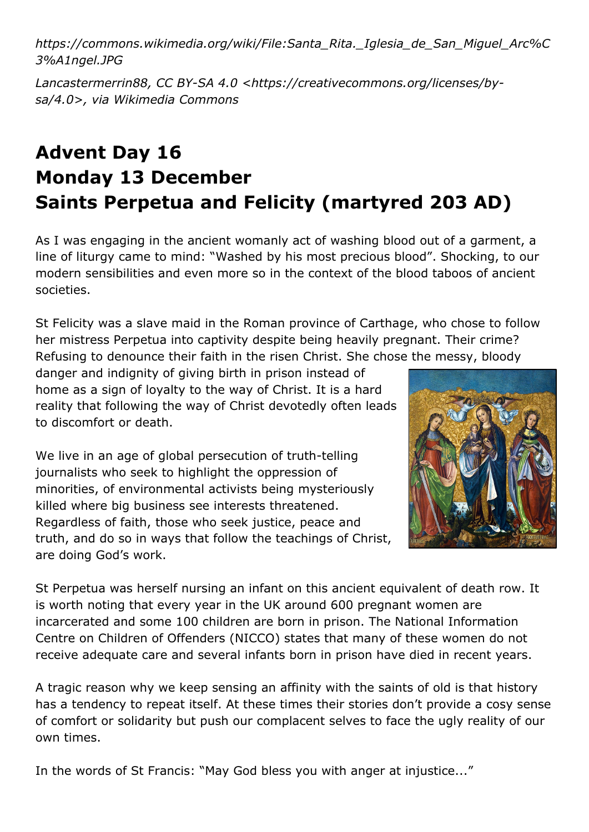*https://commons.wikimedia.org/wiki/File:Santa\_Rita.\_Iglesia\_de\_San\_Miguel\_Arc%C 3%A1ngel.JPG*

*Lancastermerrin88, CC BY-SA 4.0 <https://creativecommons.org/licenses/bysa/4.0>, via Wikimedia Commons*

## **Advent Day 16 Monday 13 December Saints Perpetua and Felicity (martyred 203 AD)**

As I was engaging in the ancient womanly act of washing blood out of a garment, a line of liturgy came to mind: "Washed by his most precious blood". Shocking, to our modern sensibilities and even more so in the context of the blood taboos of ancient societies.

St Felicity was a slave maid in the Roman province of Carthage, who chose to follow her mistress Perpetua into captivity despite being heavily pregnant. Their crime? Refusing to denounce their faith in the risen Christ. She chose the messy, bloody

danger and indignity of giving birth in prison instead of home as a sign of loyalty to the way of Christ. It is a hard reality that following the way of Christ devotedly often leads to discomfort or death.

We live in an age of global persecution of truth-telling journalists who seek to highlight the oppression of minorities, of environmental activists being mysteriously killed where big business see interests threatened. Regardless of faith, those who seek justice, peace and truth, and do so in ways that follow the teachings of Christ, are doing God's work.



St Perpetua was herself nursing an infant on this ancient equivalent of death row. It is worth noting that every year in the UK around 600 pregnant women are incarcerated and some 100 children are born in prison. The National Information Centre on Children of Offenders (NICCO) states that many of these women do not receive adequate care and several infants born in prison have died in recent years.

A tragic reason why we keep sensing an affinity with the saints of old is that history has a tendency to repeat itself. At these times their stories don't provide a cosy sense of comfort or solidarity but push our complacent selves to face the ugly reality of our own times.

In the words of St Francis: "May God bless you with anger at injustice..."